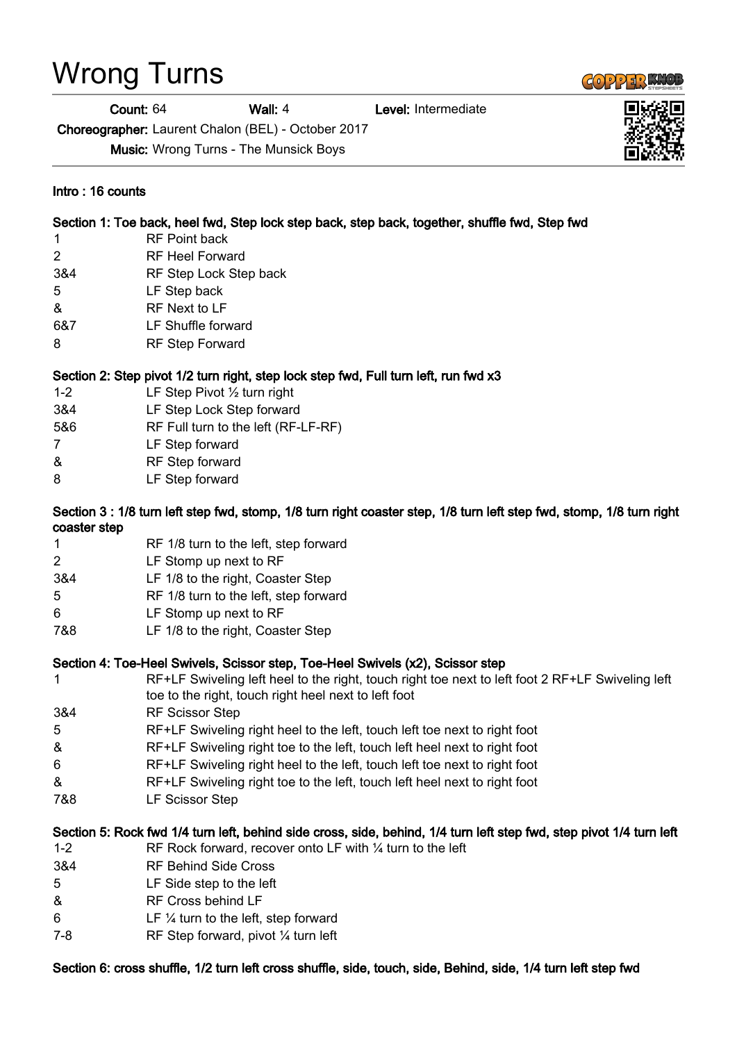# Wrong Turns

Count: 64 Wall: 4 Level: Intermediate

Choreographer: Laurent Chalon (BEL) - October 2017

Music: Wrong Turns - The Munsick Boys

#### Intro : 16 counts

#### Section 1: Toe back, heel fwd, Step lock step back, step back, together, shuffle fwd, Step fwd

- 1 RF Point back
- 2 RF Heel Forward
- 3&4 RF Step Lock Step back
- 5 LF Step back
- & RF Next to LF
- 6&7 LF Shuffle forward
- 8 RF Step Forward

### Section 2: Step pivot 1/2 turn right, step lock step fwd, Full turn left, run fwd x3

- 1-2 LF Step Pivot ½ turn right
- 3&4 LF Step Lock Step forward
- 5&6 RF Full turn to the left (RF-LF-RF)
- 7 LF Step forward
- & RF Step forward
- 8 LF Step forward

#### Section 3 : 1/8 turn left step fwd, stomp, 1/8 turn right coaster step, 1/8 turn left step fwd, stomp, 1/8 turn right coaster step

- 1 RF 1/8 turn to the left, step forward
- 2 LF Stomp up next to RF
- 3&4 LF 1/8 to the right, Coaster Step
- 5 RF 1/8 turn to the left, step forward
- 6 LF Stomp up next to RF
- 7&8 LF 1/8 to the right, Coaster Step

#### Section 4: Toe-Heel Swivels, Scissor step, Toe-Heel Swivels (x2), Scissor step

- 1 RF+LF Swiveling left heel to the right, touch right toe next to left foot 2 RF+LF Swiveling left toe to the right, touch right heel next to left foot
- 3&4 RF Scissor Step
- 5 RF+LF Swiveling right heel to the left, touch left toe next to right foot
- & RF+LF Swiveling right toe to the left, touch left heel next to right foot
- 6 RF+LF Swiveling right heel to the left, touch left toe next to right foot
- & RF+LF Swiveling right toe to the left, touch left heel next to right foot
- 7&8 LF Scissor Step

#### Section 5: Rock fwd 1/4 turn left, behind side cross, side, behind, 1/4 turn left step fwd, step pivot 1/4 turn left

- 1-2 RF Rock forward, recover onto LF with ¼ turn to the left
- 3&4 RF Behind Side Cross
- 5 LF Side step to the left
- & RF Cross behind LF
- 6 LF ¼ turn to the left, step forward
- 7-8 RF Step forward, pivot ¼ turn left

Section 6: cross shuffle, 1/2 turn left cross shuffle, side, touch, side, Behind, side, 1/4 turn left step fwd